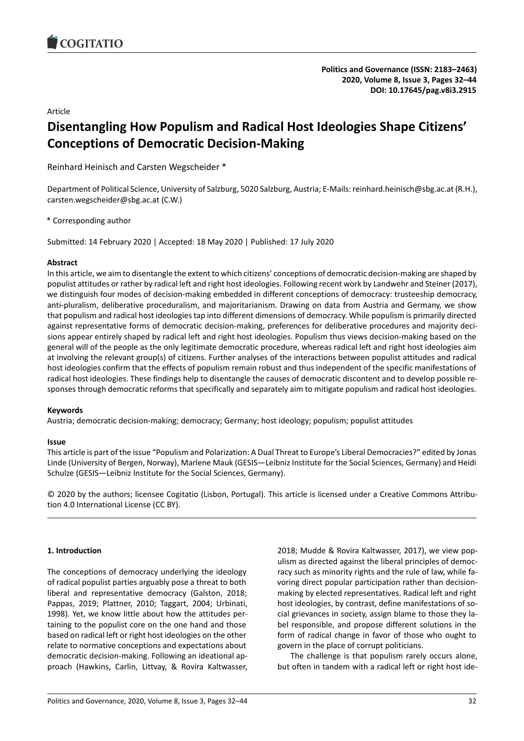

# Article

# **Disentangling How Populism and Radical Host Ideologies Shape Citizens' Conceptions of Democratic Decision-Making**

Reinhard Heinisch and Carsten Wegscheider \*

Department of Political Science, University of Salzburg, 5020 Salzburg, Austria; E-Mails: reinhard.heinisch@sbg.ac.at (R.H.), carsten.wegscheider@sbg.ac.at (C.W.)

\* Corresponding author

Submitted: 14 February 2020 | Accepted: 18 May 2020 | Published: 17 July 2020

# **Abstract**

In this article, we aim to disentangle the extent to which citizens' conceptions of democratic decision-making are shaped by populist attitudes or rather by radical left and right host ideologies. Following recent work by Landwehr and Steiner (2017), we distinguish four modes of decision-making embedded in different conceptions of democracy: trusteeship democracy, anti-pluralism, deliberative proceduralism, and majoritarianism. Drawing on data from Austria and Germany, we show that populism and radical host ideologies tap into different dimensions of democracy. While populism is primarily directed against representative forms of democratic decision-making, preferences for deliberative procedures and majority decisions appear entirely shaped by radical left and right host ideologies. Populism thus views decision-making based on the general will of the people as the only legitimate democratic procedure, whereas radical left and right host ideologies aim at involving the relevant group(s) of citizens. Further analyses of the interactions between populist attitudes and radical host ideologies confirm that the effects of populism remain robust and thus independent of the specific manifestations of radical host ideologies. These findings help to disentangle the causes of democratic discontent and to develop possible responses through democratic reforms that specifically and separately aim to mitigate populism and radical host ideologies.

# **Keywords**

Austria; democratic decision-making; democracy; Germany; host ideology; populism; populist attitudes

# **Issue**

This article is part of the issue "Populism and Polarization: A Dual Threat to Europe's Liberal Democracies?" edited by Jonas Linde (University of Bergen, Norway), Marlene Mauk (GESIS—Leibniz Institute for the Social Sciences, Germany) and Heidi Schulze (GESIS—Leibniz Institute for the Social Sciences, Germany).

© 2020 by the authors; licensee Cogitatio (Lisbon, Portugal). This article is licensed under a Creative Commons Attribution 4.0 International License (CC BY).

# **1. Introduction**

The conceptions of democracy underlying the ideology of radical populist parties arguably pose a threat to both liberal and representative democracy (Galston, 2018; Pappas, 2019; Plattner, 2010; Taggart, 2004; Urbinati, 1998). Yet, we know little about how the attitudes pertaining to the populist core on the one hand and those based on radical left or right host ideologies on the other relate to normative conceptions and expectations about democratic decision-making. Following an ideational approach (Hawkins, Carlin, Littvay, & Rovira Kaltwasser,

2018; Mudde & Rovira Kaltwasser, 2017), we view populism as directed against the liberal principles of democracy such as minority rights and the rule of law, while favoring direct popular participation rather than decisionmaking by elected representatives. Radical left and right host ideologies, by contrast, define manifestations of social grievances in society, assign blame to those they label responsible, and propose different solutions in the form of radical change in favor of those who ought to govern in the place of corrupt politicians.

The challenge is that populism rarely occurs alone, but often in tandem with a radical left or right host ide-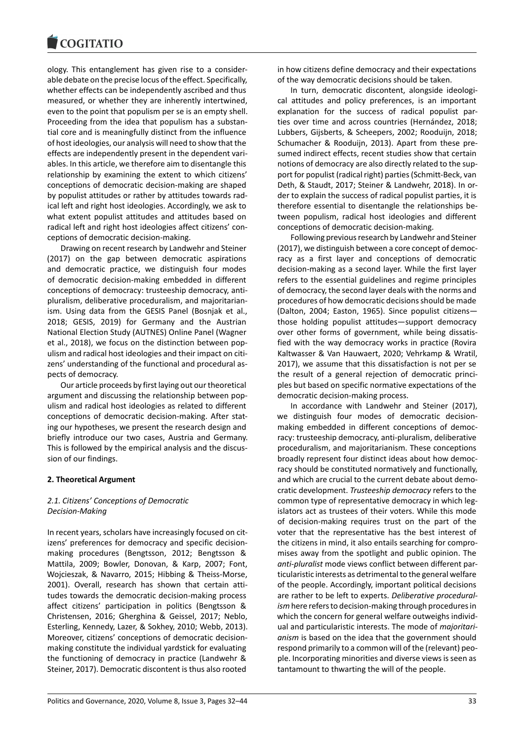#### COMITATIO

ology. This entanglement has given rise to a considerable debate on the precise locus of the effect. Specifically, whether effects can be independently ascribed and thus measured, or whether they are inherently intertwined, even to the point that populism per se is an empty shell. Proceeding from the idea that populism has a substantial core and is meaningfully distinct from the influence of host ideologies, our analysis will need to show that the effects are independently present in the dependent variables. In this article, we therefore aim to disentangle this relationship by examining the extent to which citizens' conceptions of democratic decision-making are shaped by populist attitudes or rather by attitudes towards radical left and right host ideologies. Accordingly, we ask to what extent populist attitudes and attitudes based on radical left and right host ideologies affect citizens' conceptions of democratic decision-making.

Drawing on recent research by Landwehr and Steiner (2017) on the gap between democratic aspirations and democratic practice, we distinguish four modes of democratic decision-making embedded in different conceptions of democracy: trusteeship democracy, antipluralism, deliberative proceduralism, and majoritarianism. Using data from the GESIS Panel (Bosnjak et al., 2018; GESIS, 2019) for Germany and the Austrian National Election Study (AUTNES) Online Panel (Wagner et al., 2018), we focus on the distinction between populism and radical host ideologies and their impact on citizens' understanding of the functional and procedural aspects of democracy.

Our article proceeds by first laying out our theoretical argument and discussing the relationship between populism and radical host ideologies as related to different conceptions of democratic decision-making. After stating our hypotheses, we present the research design and briefly introduce our two cases, Austria and Germany. This is followed by the empirical analysis and the discussion of our findings.

#### **2. Theoretical Argument**

# *2.1. Citizens' Conceptions of Democratic Decision-Making*

In recent years, scholars have increasingly focused on citizens' preferences for democracy and specific decisionmaking procedures (Bengtsson, 2012; Bengtsson & Mattila, 2009; Bowler, Donovan, & Karp, 2007; Font, Wojcieszak, & Navarro, 2015; Hibbing & Theiss-Morse, 2001). Overall, research has shown that certain attitudes towards the democratic decision-making process affect citizens' participation in politics (Bengtsson & Christensen, 2016; Gherghina & Geissel, 2017; Neblo, Esterling, Kennedy, Lazer, & Sokhey, 2010; Webb, 2013). Moreover, citizens' conceptions of democratic decisionmaking constitute the individual yardstick for evaluating the functioning of democracy in practice (Landwehr & Steiner, 2017). Democratic discontent is thus also rooted

in how citizens define democracy and their expectations of the way democratic decisions should be taken.

In turn, democratic discontent, alongside ideological attitudes and policy preferences, is an important explanation for the success of radical populist parties over time and across countries (Hernández, 2018; Lubbers, Gijsberts, & Scheepers, 2002; Rooduijn, 2018; Schumacher & Rooduijn, 2013). Apart from these presumed indirect effects, recent studies show that certain notions of democracy are also directly related to the support for populist (radical right) parties (Schmitt-Beck, van Deth, & Staudt, 2017; Steiner & Landwehr, 2018). In order to explain the success of radical populist parties, it is therefore essential to disentangle the relationships between populism, radical host ideologies and different conceptions of democratic decision-making.

Following previous research by Landwehr and Steiner (2017), we distinguish between a core concept of democracy as a first layer and conceptions of democratic decision-making as a second layer. While the first layer refers to the essential guidelines and regime principles of democracy, the second layer deals with the norms and procedures of how democratic decisions should be made (Dalton, 2004; Easton, 1965). Since populist citizens those holding populist attitudes—support democracy over other forms of government, while being dissatisfied with the way democracy works in practice (Rovira Kaltwasser & Van Hauwaert, 2020; Vehrkamp & Wratil, 2017), we assume that this dissatisfaction is not per se the result of a general rejection of democratic principles but based on specific normative expectations of the democratic decision-making process.

In accordance with Landwehr and Steiner (2017), we distinguish four modes of democratic decisionmaking embedded in different conceptions of democracy: trusteeship democracy, anti-pluralism, deliberative proceduralism, and majoritarianism. These conceptions broadly represent four distinct ideas about how democracy should be constituted normatively and functionally, and which are crucial to the current debate about democratic development. *Trusteeship democracy* refers to the common type of representative democracy in which legislators act as trustees of their voters. While this mode of decision-making requires trust on the part of the voter that the representative has the best interest of the citizens in mind, it also entails searching for compromises away from the spotlight and public opinion. The *anti-pluralist* mode views conflict between different particularistic interests as detrimental to the general welfare of the people. Accordingly, important political decisions are rather to be left to experts. *Deliberative proceduralism*here refers to decision-making through procedures in which the concern for general welfare outweighs individual and particularistic interests. The mode of *majoritarianism* is based on the idea that the government should respond primarily to a common will of the (relevant) people. Incorporating minorities and diverse views is seen as tantamount to thwarting the will of the people.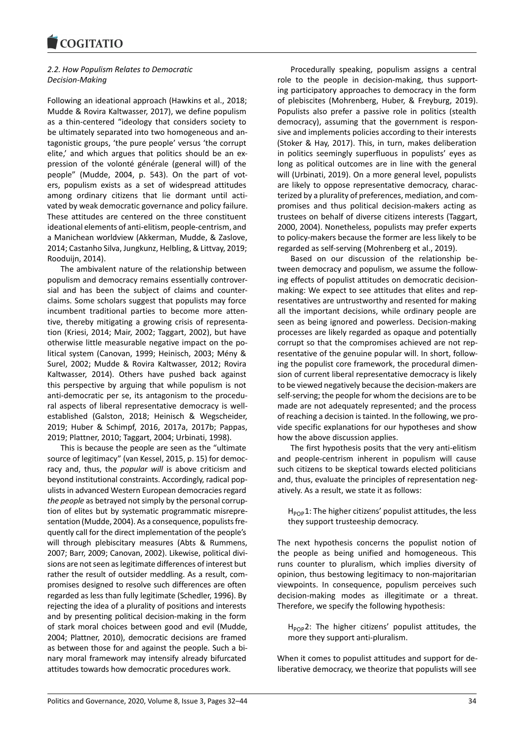#### **COMMENT**

# *2.2. How Populism Relates to Democratic Decision-Making*

Following an ideational approach (Hawkins et al., 2018; Mudde & Rovira Kaltwasser, 2017), we define populism as a thin-centered "ideology that considers society to be ultimately separated into two homogeneous and antagonistic groups, 'the pure people' versus 'the corrupt elite,' and which argues that politics should be an expression of the volonté générale (general will) of the people" (Mudde, 2004, p. 543). On the part of voters, populism exists as a set of widespread attitudes among ordinary citizens that lie dormant until activated by weak democratic governance and policy failure. These attitudes are centered on the three constituent ideational elements of anti-elitism, people-centrism, and a Manichean worldview (Akkerman, Mudde, & Zaslove, 2014; Castanho Silva, Jungkunz, Helbling, & Littvay, 2019; Rooduijn, 2014).

The ambivalent nature of the relationship between populism and democracy remains essentially controversial and has been the subject of claims and counterclaims. Some scholars suggest that populists may force incumbent traditional parties to become more attentive, thereby mitigating a growing crisis of representation (Kriesi, 2014; Mair, 2002; Taggart, 2002), but have otherwise little measurable negative impact on the political system (Canovan, 1999; Heinisch, 2003; Mény & Surel, 2002; Mudde & Rovira Kaltwasser, 2012; Rovira Kaltwasser, 2014). Others have pushed back against this perspective by arguing that while populism is not anti-democratic per se, its antagonism to the procedural aspects of liberal representative democracy is wellestablished (Galston, 2018; Heinisch & Wegscheider, 2019; Huber & Schimpf, 2016, 2017a, 2017b; Pappas, 2019; Plattner, 2010; Taggart, 2004; Urbinati, 1998).

This is because the people are seen as the "ultimate source of legitimacy" (van Kessel, 2015, p. 15) for democracy and, thus, the *popular will* is above criticism and beyond institutional constraints. Accordingly, radical populists in advanced Western European democracies regard *the people* as betrayed not simply by the personal corruption of elites but by systematic programmatic misrepresentation (Mudde, 2004). As a consequence, populists frequently call for the direct implementation of the people's will through plebiscitary measures (Abts & Rummens, 2007; Barr, 2009; Canovan, 2002). Likewise, political divisions are not seen as legitimate differences of interest but rather the result of outsider meddling. As a result, compromises designed to resolve such differences are often regarded as less than fully legitimate (Schedler, 1996). By rejecting the idea of a plurality of positions and interests and by presenting political decision-making in the form of stark moral choices between good and evil (Mudde, 2004; Plattner, 2010), democratic decisions are framed as between those for and against the people. Such a binary moral framework may intensify already bifurcated attitudes towards how democratic procedures work.

Procedurally speaking, populism assigns a central role to the people in decision-making, thus supporting participatory approaches to democracy in the form of plebiscites (Mohrenberg, Huber, & Freyburg, 2019). Populists also prefer a passive role in politics (stealth democracy), assuming that the government is responsive and implements policies according to their interests (Stoker & Hay, 2017). This, in turn, makes deliberation in politics seemingly superfluous in populists' eyes as long as political outcomes are in line with the general will (Urbinati, 2019). On a more general level, populists are likely to oppose representative democracy, characterized by a plurality of preferences, mediation, and compromises and thus political decision-makers acting as trustees on behalf of diverse citizens interests (Taggart, 2000, 2004). Nonetheless, populists may prefer experts to policy-makers because the former are less likely to be regarded as self-serving (Mohrenberg et al., 2019).

Based on our discussion of the relationship between democracy and populism, we assume the following effects of populist attitudes on democratic decisionmaking: We expect to see attitudes that elites and representatives are untrustworthy and resented for making all the important decisions, while ordinary people are seen as being ignored and powerless. Decision-making processes are likely regarded as opaque and potentially corrupt so that the compromises achieved are not representative of the genuine popular will. In short, following the populist core framework, the procedural dimension of current liberal representative democracy is likely to be viewed negatively because the decision-makers are self-serving; the people for whom the decisions are to be made are not adequately represented; and the process of reaching a decision is tainted. In the following, we provide specific explanations for our hypotheses and show how the above discussion applies.

The first hypothesis posits that the very anti-elitism and people-centrism inherent in populism will cause such citizens to be skeptical towards elected politicians and, thus, evaluate the principles of representation negatively. As a result, we state it as follows:

 $H_{POP}$ 1: The higher citizens' populist attitudes, the less they support trusteeship democracy.

The next hypothesis concerns the populist notion of the people as being unified and homogeneous. This runs counter to pluralism, which implies diversity of opinion, thus bestowing legitimacy to non-majoritarian viewpoints. In consequence, populism perceives such decision-making modes as illegitimate or a threat. Therefore, we specify the following hypothesis:

 $H_{POP}$ 2: The higher citizens' populist attitudes, the more they support anti-pluralism.

When it comes to populist attitudes and support for deliberative democracy, we theorize that populists will see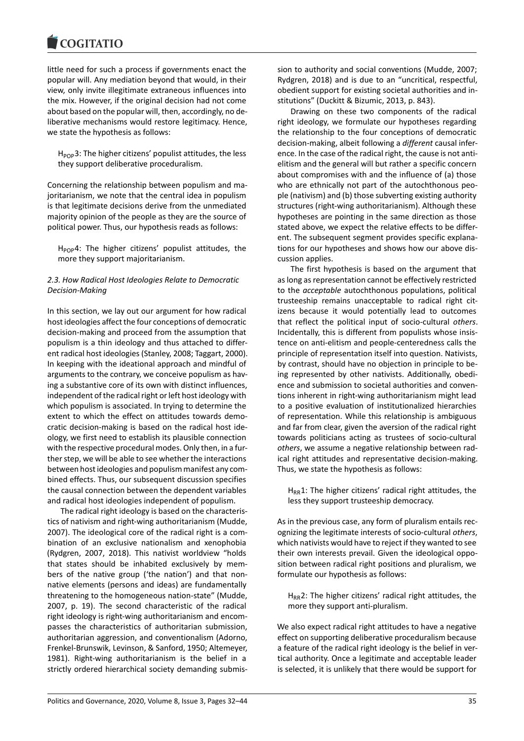#### **COMMITMENT**

little need for such a process if governments enact the popular will. Any mediation beyond that would, in their view, only invite illegitimate extraneous influences into the mix. However, if the original decision had not come about based on the popular will, then, accordingly, no deliberative mechanisms would restore legitimacy. Hence, we state the hypothesis as follows:

 $H_{POP}$ 3: The higher citizens' populist attitudes, the less they support deliberative proceduralism.

Concerning the relationship between populism and majoritarianism, we note that the central idea in populism is that legitimate decisions derive from the unmediated majority opinion of the people as they are the source of political power. Thus, our hypothesis reads as follows:

 $H_{POP}4$ : The higher citizens' populist attitudes, the more they support majoritarianism.

### *2.3. How Radical Host Ideologies Relate to Democratic Decision-Making*

In this section, we lay out our argument for how radical host ideologies affect the four conceptions of democratic decision-making and proceed from the assumption that populism is a thin ideology and thus attached to different radical host ideologies (Stanley, 2008; Taggart, 2000). In keeping with the ideational approach and mindful of arguments to the contrary, we conceive populism as having a substantive core of its own with distinct influences, independent of the radical right or left host ideology with which populism is associated. In trying to determine the extent to which the effect on attitudes towards democratic decision-making is based on the radical host ideology, we first need to establish its plausible connection with the respective procedural modes. Only then, in a further step, we will be able to see whether the interactions between host ideologies and populism manifest any combined effects. Thus, our subsequent discussion specifies the causal connection between the dependent variables and radical host ideologies independent of populism.

The radical right ideology is based on the characteristics of nativism and right-wing authoritarianism (Mudde, 2007). The ideological core of the radical right is a combination of an exclusive nationalism and xenophobia (Rydgren, 2007, 2018). This nativist worldview "holds that states should be inhabited exclusively by members of the native group ('the nation') and that nonnative elements (persons and ideas) are fundamentally threatening to the homogeneous nation-state" (Mudde, 2007, p. 19). The second characteristic of the radical right ideology is right-wing authoritarianism and encompasses the characteristics of authoritarian submission, authoritarian aggression, and conventionalism (Adorno, Frenkel-Brunswik, Levinson, & Sanford, 1950; Altemeyer, 1981). Right-wing authoritarianism is the belief in a strictly ordered hierarchical society demanding submission to authority and social conventions (Mudde, 2007; Rydgren, 2018) and is due to an "uncritical, respectful, obedient support for existing societal authorities and institutions" (Duckitt & Bizumic, 2013, p. 843).

Drawing on these two components of the radical right ideology, we formulate our hypotheses regarding the relationship to the four conceptions of democratic decision-making, albeit following a *different* causal inference. In the case of the radical right, the cause is not antielitism and the general will but rather a specific concern about compromises with and the influence of (a) those who are ethnically not part of the autochthonous people (nativism) and (b) those subverting existing authority structures (right-wing authoritarianism). Although these hypotheses are pointing in the same direction as those stated above, we expect the relative effects to be different. The subsequent segment provides specific explanations for our hypotheses and shows how our above discussion applies.

The first hypothesis is based on the argument that as long as representation cannot be effectively restricted to the *acceptable* autochthonous populations, political trusteeship remains unacceptable to radical right citizens because it would potentially lead to outcomes that reflect the political input of socio-cultural *others*. Incidentally, this is different from populists whose insistence on anti-elitism and people-centeredness calls the principle of representation itself into question. Nativists, by contrast, should have no objection in principle to being represented by other nativists. Additionally, obedience and submission to societal authorities and conventions inherent in right-wing authoritarianism might lead to a positive evaluation of institutionalized hierarchies of representation. While this relationship is ambiguous and far from clear, given the aversion of the radical right towards politicians acting as trustees of socio-cultural *others*, we assume a negative relationship between radical right attitudes and representative decision-making. Thus, we state the hypothesis as follows:

 $H_{RR}1$ : The higher citizens' radical right attitudes, the less they support trusteeship democracy.

As in the previous case, any form of pluralism entails recognizing the legitimate interests of socio-cultural *others*, which nativists would have to reject if they wanted to see their own interests prevail. Given the ideological opposition between radical right positions and pluralism, we formulate our hypothesis as follows:

 $H_{RR}$ 2: The higher citizens' radical right attitudes, the more they support anti-pluralism.

We also expect radical right attitudes to have a negative effect on supporting deliberative proceduralism because a feature of the radical right ideology is the belief in vertical authority. Once a legitimate and acceptable leader is selected, it is unlikely that there would be support for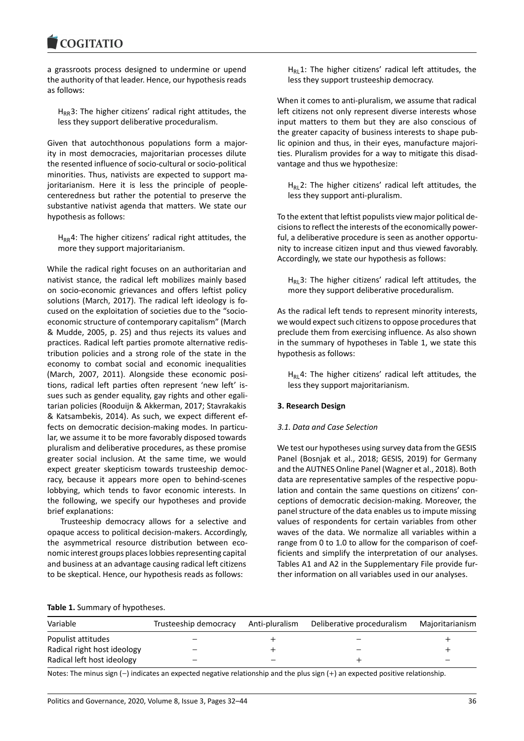#### COMITATIO

a grassroots process designed to undermine or upend the authority of that leader. Hence, our hypothesis reads as follows:

 $H_{RR}$ 3: The higher citizens' radical right attitudes, the less they support deliberative proceduralism.

Given that autochthonous populations form a majority in most democracies, majoritarian processes dilute the resented influence of socio-cultural or socio-political minorities. Thus, nativists are expected to support majoritarianism. Here it is less the principle of peoplecenteredness but rather the potential to preserve the substantive nativist agenda that matters. We state our hypothesis as follows:

 $H_{RR}4$ : The higher citizens' radical right attitudes, the more they support majoritarianism.

While the radical right focuses on an authoritarian and nativist stance, the radical left mobilizes mainly based on socio-economic grievances and offers leftist policy solutions (March, 2017). The radical left ideology is focused on the exploitation of societies due to the "socioeconomic structure of contemporary capitalism" (March & Mudde, 2005, p. 25) and thus rejects its values and practices. Radical left parties promote alternative redistribution policies and a strong role of the state in the economy to combat social and economic inequalities (March, 2007, 2011). Alongside these economic positions, radical left parties often represent 'new left' issues such as gender equality, gay rights and other egalitarian policies (Rooduijn & Akkerman, 2017; Stavrakakis & Katsambekis, 2014). As such, we expect different effects on democratic decision-making modes. In particular, we assume it to be more favorably disposed towards pluralism and deliberative procedures, as these promise greater social inclusion. At the same time, we would expect greater skepticism towards trusteeship democracy, because it appears more open to behind-scenes lobbying, which tends to favor economic interests. In the following, we specify our hypotheses and provide brief explanations:

Trusteeship democracy allows for a selective and opaque access to political decision-makers. Accordingly, the asymmetrical resource distribution between economic interest groups places lobbies representing capital and business at an advantage causing radical left citizens to be skeptical. Hence, our hypothesis reads as follows:

 $H_{RL}1$ : The higher citizens' radical left attitudes, the less they support trusteeship democracy.

When it comes to anti-pluralism, we assume that radical left citizens not only represent diverse interests whose input matters to them but they are also conscious of the greater capacity of business interests to shape public opinion and thus, in their eyes, manufacture majorities. Pluralism provides for a way to mitigate this disadvantage and thus we hypothesize:

 $H<sub>RI</sub>$  2: The higher citizens' radical left attitudes, the less they support anti-pluralism.

To the extent that leftist populists view major political decisions to reflect the interests of the economically powerful, a deliberative procedure is seen as another opportunity to increase citizen input and thus viewed favorably. Accordingly, we state our hypothesis as follows:

 $H<sub>RL</sub>3$ : The higher citizens' radical left attitudes, the more they support deliberative proceduralism.

As the radical left tends to represent minority interests, we would expect such citizens to oppose procedures that preclude them from exercising influence. As also shown in the summary of hypotheses in Table 1, we state this hypothesis as follows:

 $H<sub>RI</sub>4$ : The higher citizens' radical left attitudes, the less they support majoritarianism.

#### **3. Research Design**

#### *3.1. Data and Case Selection*

We test our hypotheses using survey data from the GESIS Panel (Bosnjak et al., 2018; GESIS, 2019) for Germany and the AUTNES Online Panel (Wagner et al., 2018). Both data are representative samples of the respective population and contain the same questions on citizens' conceptions of democratic decision-making. Moreover, the panel structure of the data enables us to impute missing values of respondents for certain variables from other waves of the data. We normalize all variables within a range from 0 to 1.0 to allow for the comparison of coefficients and simplify the interpretation of our analyses. Tables A1 and A2 in the Supplementary File provide further information on all variables used in our analyses.

#### **Table 1.** Summary of hypotheses.

| Variable                    | Trusteeship democracy | Anti-pluralism | Deliberative proceduralism | Majoritarianism |
|-----------------------------|-----------------------|----------------|----------------------------|-----------------|
| Populist attitudes          |                       |                | _                          |                 |
| Radical right host ideology |                       |                | -                          |                 |
| Radical left host ideology  |                       |                |                            |                 |

Notes: The minus sign (−) indicates an expected negative relationship and the plus sign (+) an expected positive relationship.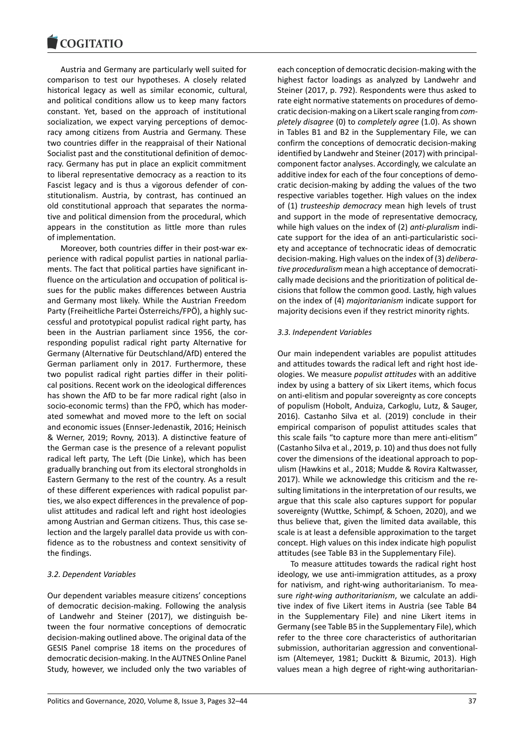Austria and Germany are particularly well suited for comparison to test our hypotheses. A closely related historical legacy as well as similar economic, cultural, and political conditions allow us to keep many factors constant. Yet, based on the approach of institutional socialization, we expect varying perceptions of democracy among citizens from Austria and Germany. These two countries differ in the reappraisal of their National Socialist past and the constitutional definition of democracy. Germany has put in place an explicit commitment to liberal representative democracy as a reaction to its Fascist legacy and is thus a vigorous defender of constitutionalism. Austria, by contrast, has continued an old constitutional approach that separates the normative and political dimension from the procedural, which appears in the constitution as little more than rules of implementation.

Moreover, both countries differ in their post-war experience with radical populist parties in national parliaments. The fact that political parties have significant influence on the articulation and occupation of political issues for the public makes differences between Austria and Germany most likely. While the Austrian Freedom Party (Freiheitliche Partei Österreichs/FPÖ), a highly successful and prototypical populist radical right party, has been in the Austrian parliament since 1956, the corresponding populist radical right party Alternative for Germany (Alternative für Deutschland/AfD) entered the German parliament only in 2017. Furthermore, these two populist radical right parties differ in their political positions. Recent work on the ideological differences has shown the AfD to be far more radical right (also in socio-economic terms) than the FPÖ, which has moderated somewhat and moved more to the left on social and economic issues (Ennser-Jedenastik, 2016; Heinisch & Werner, 2019; Rovny, 2013). A distinctive feature of the German case is the presence of a relevant populist radical left party, The Left (Die Linke), which has been gradually branching out from its electoral strongholds in Eastern Germany to the rest of the country. As a result of these different experiences with radical populist parties, we also expect differences in the prevalence of populist attitudes and radical left and right host ideologies among Austrian and German citizens. Thus, this case selection and the largely parallel data provide us with confidence as to the robustness and context sensitivity of the findings.

# *3.2. Dependent Variables*

Our dependent variables measure citizens' conceptions of democratic decision-making. Following the analysis of Landwehr and Steiner (2017), we distinguish between the four normative conceptions of democratic decision-making outlined above. The original data of the GESIS Panel comprise 18 items on the procedures of democratic decision-making. In the AUTNES Online Panel Study, however, we included only the two variables of

each conception of democratic decision-making with the highest factor loadings as analyzed by Landwehr and Steiner (2017, p. 792). Respondents were thus asked to rate eight normative statements on procedures of democratic decision-making on a Likert scale ranging from*completely disagree* (0) to *completely agree* (1.0). As shown in Tables B1 and B2 in the Supplementary File, we can confirm the conceptions of democratic decision-making identified by Landwehr and Steiner (2017) with principalcomponent factor analyses. Accordingly, we calculate an additive index for each of the four conceptions of democratic decision-making by adding the values of the two respective variables together. High values on the index of (1) *trusteeship democracy* mean high levels of trust and support in the mode of representative democracy, while high values on the index of (2) *anti-pluralism* indicate support for the idea of an anti-particularistic society and acceptance of technocratic ideas of democratic decision-making. High values on the index of (3) *deliberative proceduralism* mean a high acceptance of democratically made decisions and the prioritization of political decisions that follow the common good. Lastly, high values on the index of (4) *majoritarianism* indicate support for majority decisions even if they restrict minority rights.

### *3.3. Independent Variables*

Our main independent variables are populist attitudes and attitudes towards the radical left and right host ideologies. We measure *populist attitudes* with an additive index by using a battery of six Likert items, which focus on anti-elitism and popular sovereignty as core concepts of populism (Hobolt, Anduiza, Carkoglu, Lutz, & Sauger, 2016). Castanho Silva et al. (2019) conclude in their empirical comparison of populist attitudes scales that this scale fails "to capture more than mere anti-elitism" (Castanho Silva et al., 2019, p. 10) and thus does not fully cover the dimensions of the ideational approach to populism (Hawkins et al., 2018; Mudde & Rovira Kaltwasser, 2017). While we acknowledge this criticism and the resulting limitations in the interpretation of our results, we argue that this scale also captures support for popular sovereignty (Wuttke, Schimpf, & Schoen, 2020), and we thus believe that, given the limited data available, this scale is at least a defensible approximation to the target concept. High values on this index indicate high populist attitudes (see Table B3 in the Supplementary File).

To measure attitudes towards the radical right host ideology, we use anti-immigration attitudes, as a proxy for nativism, and right-wing authoritarianism. To measure *right-wing authoritarianism*, we calculate an additive index of five Likert items in Austria (see Table B4 in the Supplementary File) and nine Likert items in Germany (see Table B5 in the Supplementary File), which refer to the three core characteristics of authoritarian submission, authoritarian aggression and conventionalism (Altemeyer, 1981; Duckitt & Bizumic, 2013). High values mean a high degree of right-wing authoritarian-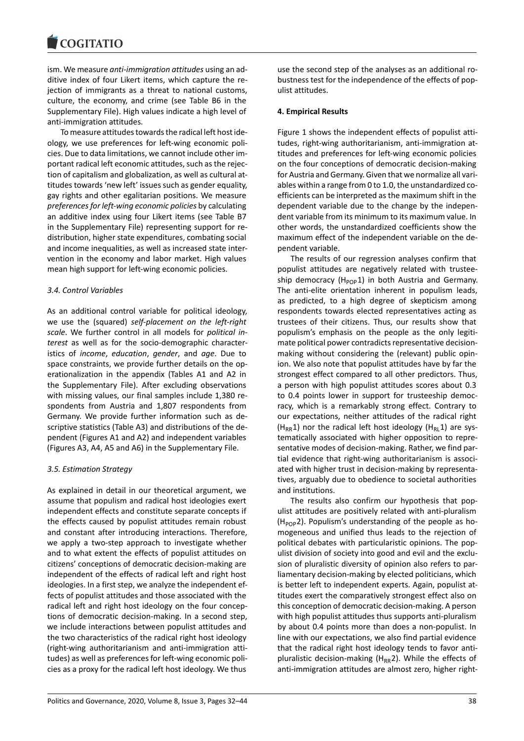#### COQUIATIO

ism. We measure *anti-immigration attitudes* using an additive index of four Likert items, which capture the rejection of immigrants as a threat to national customs, culture, the economy, and crime (see Table B6 in the Supplementary File). High values indicate a high level of anti-immigration attitudes.

To measure attitudes towards the radical left host ideology, we use preferences for left-wing economic policies. Due to data limitations, we cannot include other important radical left economic attitudes, such as the rejection of capitalism and globalization, as well as cultural attitudes towards 'new left' issues such as gender equality, gay rights and other egalitarian positions. We measure *preferences for left-wing economic policies* by calculating an additive index using four Likert items (see Table B7 in the Supplementary File) representing support for redistribution, higher state expenditures, combating social and income inequalities, as well as increased state intervention in the economy and labor market. High values mean high support for left-wing economic policies.

### *3.4. Control Variables*

As an additional control variable for political ideology, we use the (squared) *self-placement on the left-right scale*. We further control in all models for *political interest* as well as for the socio-demographic characteristics of *income*, *education*, *gender*, and *age*. Due to space constraints, we provide further details on the operationalization in the appendix (Tables A1 and A2 in the Supplementary File). After excluding observations with missing values, our final samples include 1,380 respondents from Austria and 1,807 respondents from Germany. We provide further information such as descriptive statistics (Table A3) and distributions of the dependent (Figures A1 and A2) and independent variables (Figures A3, A4, A5 and A6) in the Supplementary File.

# *3.5. Estimation Strategy*

As explained in detail in our theoretical argument, we assume that populism and radical host ideologies exert independent effects and constitute separate concepts if the effects caused by populist attitudes remain robust and constant after introducing interactions. Therefore, we apply a two-step approach to investigate whether and to what extent the effects of populist attitudes on citizens' conceptions of democratic decision-making are independent of the effects of radical left and right host ideologies. In a first step, we analyze the independent effects of populist attitudes and those associated with the radical left and right host ideology on the four conceptions of democratic decision-making. In a second step, we include interactions between populist attitudes and the two characteristics of the radical right host ideology (right-wing authoritarianism and anti-immigration attitudes) as well as preferences for left-wing economic policies as a proxy for the radical left host ideology. We thus

use the second step of the analyses as an additional robustness test for the independence of the effects of populist attitudes.

# **4. Empirical Results**

Figure 1 shows the independent effects of populist attitudes, right-wing authoritarianism, anti-immigration attitudes and preferences for left-wing economic policies on the four conceptions of democratic decision-making for Austria and Germany. Given that we normalize all variables within a range from 0 to 1.0, the unstandardized coefficients can be interpreted as the maximum shift in the dependent variable due to the change by the independent variable from its minimum to its maximum value. In other words, the unstandardized coefficients show the maximum effect of the independent variable on the dependent variable.

The results of our regression analyses confirm that populist attitudes are negatively related with trusteeship democracy ( $H_{POP}1$ ) in both Austria and Germany. The anti-elite orientation inherent in populism leads, as predicted, to a high degree of skepticism among respondents towards elected representatives acting as trustees of their citizens. Thus, our results show that populism's emphasis on the people as the only legitimate political power contradicts representative decisionmaking without considering the (relevant) public opinion. We also note that populist attitudes have by far the strongest effect compared to all other predictors. Thus, a person with high populist attitudes scores about 0.3 to 0.4 points lower in support for trusteeship democracy, which is a remarkably strong effect. Contrary to our expectations, neither attitudes of the radical right (H<sub>RR</sub>1) nor the radical left host ideology (H<sub>RL</sub>1) are systematically associated with higher opposition to representative modes of decision-making. Rather, we find partial evidence that right-wing authoritarianism is associated with higher trust in decision-making by representatives, arguably due to obedience to societal authorities and institutions.

The results also confirm our hypothesis that populist attitudes are positively related with anti-pluralism  $(H_{POP})$ . Populism's understanding of the people as homogeneous and unified thus leads to the rejection of political debates with particularistic opinions. The populist division of society into good and evil and the exclusion of pluralistic diversity of opinion also refers to parliamentary decision-making by elected politicians, which is better left to independent experts. Again, populist attitudes exert the comparatively strongest effect also on this conception of democratic decision-making. A person with high populist attitudes thus supports anti-pluralism by about 0.4 points more than does a non-populist. In line with our expectations, we also find partial evidence that the radical right host ideology tends to favor antipluralistic decision-making ( $H_{RR}$ 2). While the effects of anti-immigration attitudes are almost zero, higher right-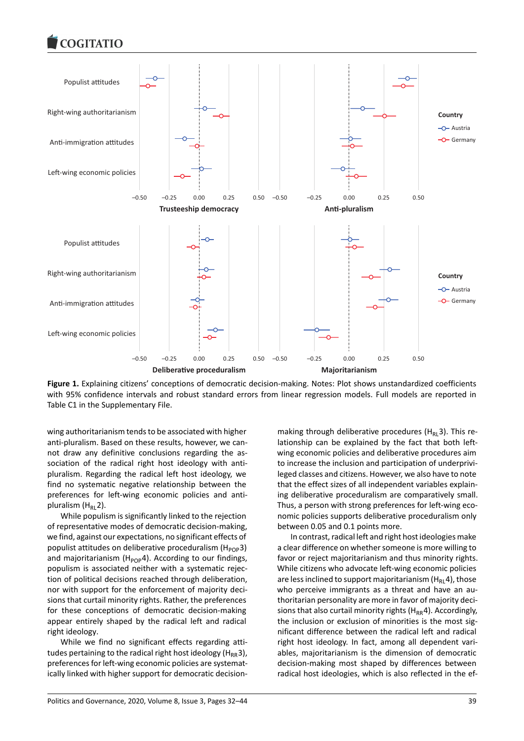#### COQUATIO



**Figure 1.** Explaining citizens' conceptions of democratic decision-making. Notes: Plot shows unstandardized coefficients with 95% confidence intervals and robust standard errors from linear regression models. Full models are reported in Table C1 in the Supplementary File.

wing authoritarianism tends to be associated with higher anti-pluralism. Based on these results, however, we cannot draw any definitive conclusions regarding the association of the radical right host ideology with antipluralism. Regarding the radical left host ideology, we find no systematic negative relationship between the preferences for left-wing economic policies and antipluralism  $(H_R, 2)$ .

While populism is significantly linked to the rejection of representative modes of democratic decision-making, we find, against our expectations, no significant effects of populist attitudes on deliberative proceduralism ( $H_{pop}$ 3) and majoritarianism ( $H_{POP}$ 4). According to our findings, populism is associated neither with a systematic rejection of political decisions reached through deliberation, nor with support for the enforcement of majority decisions that curtail minority rights. Rather, the preferences for these conceptions of democratic decision-making appear entirely shaped by the radical left and radical right ideology.

While we find no significant effects regarding attitudes pertaining to the radical right host ideology ( $H_{RR}$ 3), preferences for left-wing economic policies are systematically linked with higher support for democratic decision-

making through deliberative procedures ( $H<sub>RL</sub>3$ ). This relationship can be explained by the fact that both leftwing economic policies and deliberative procedures aim to increase the inclusion and participation of underprivileged classes and citizens. However, we also have to note that the effect sizes of all independent variables explaining deliberative proceduralism are comparatively small. Thus, a person with strong preferences for left-wing economic policies supports deliberative proceduralism only between 0.05 and 0.1 points more.

In contrast, radical left and right host ideologies make a clear difference on whether someone is more willing to favor or reject majoritarianism and thus minority rights. While citizens who advocate left-wing economic policies are less inclined to support majoritarianism  $(H_R, 4)$ , those who perceive immigrants as a threat and have an authoritarian personality are more in favor of majority decisions that also curtail minority rights ( $H_{RR}$ 4). Accordingly, the inclusion or exclusion of minorities is the most significant difference between the radical left and radical right host ideology. In fact, among all dependent variables, majoritarianism is the dimension of democratic decision-making most shaped by differences between radical host ideologies, which is also reflected in the ef-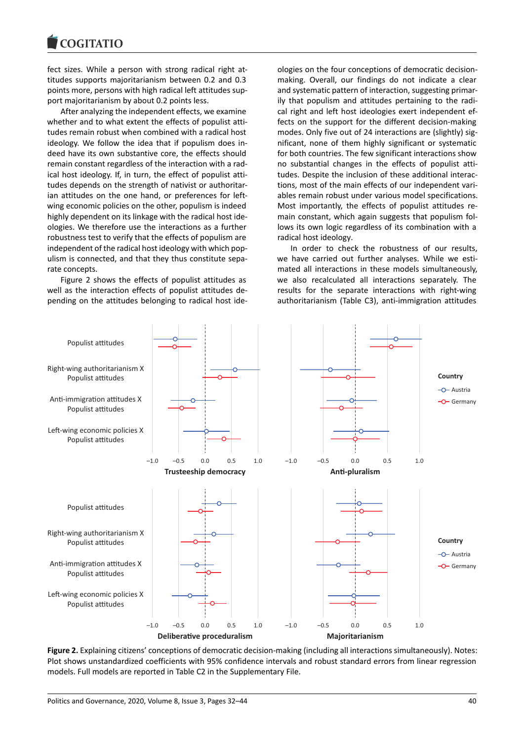#### COMITATIO

fect sizes. While a person with strong radical right attitudes supports majoritarianism between 0.2 and 0.3 points more, persons with high radical left attitudes support majoritarianism by about 0.2 points less.

After analyzing the independent effects, we examine whether and to what extent the effects of populist attitudes remain robust when combined with a radical host ideology. We follow the idea that if populism does indeed have its own substantive core, the effects should remain constant regardless of the interaction with a radical host ideology. If, in turn, the effect of populist attitudes depends on the strength of nativist or authoritarian attitudes on the one hand, or preferences for leftwing economic policies on the other, populism is indeed highly dependent on its linkage with the radical host ideologies. We therefore use the interactions as a further robustness test to verify that the effects of populism are independent of the radical host ideology with which populism is connected, and that they thus constitute separate concepts.

Figure 2 shows the effects of populist attitudes as well as the interaction effects of populist attitudes depending on the attitudes belonging to radical host ide-

ologies on the four conceptions of democratic decisionmaking. Overall, our findings do not indicate a clear and systematic pattern of interaction, suggesting primarily that populism and attitudes pertaining to the radical right and left host ideologies exert independent effects on the support for the different decision-making modes. Only five out of 24 interactions are (slightly) significant, none of them highly significant or systematic for both countries. The few significant interactions show no substantial changes in the effects of populist attitudes. Despite the inclusion of these additional interactions, most of the main effects of our independent variables remain robust under various model specifications. Most importantly, the effects of populist attitudes remain constant, which again suggests that populism follows its own logic regardless of its combination with a radical host ideology.

In order to check the robustness of our results, we have carried out further analyses. While we estimated all interactions in these models simultaneously, we also recalculated all interactions separately. The results for the separate interactions with right-wing authoritarianism (Table C3), anti-immigration attitudes



**Figure 2.** Explaining citizens' conceptions of democratic decision-making (including all interactions simultaneously). Notes: Plot shows unstandardized coefficients with 95% confidence intervals and robust standard errors from linear regression models. Full models are reported in Table C2 in the Supplementary File.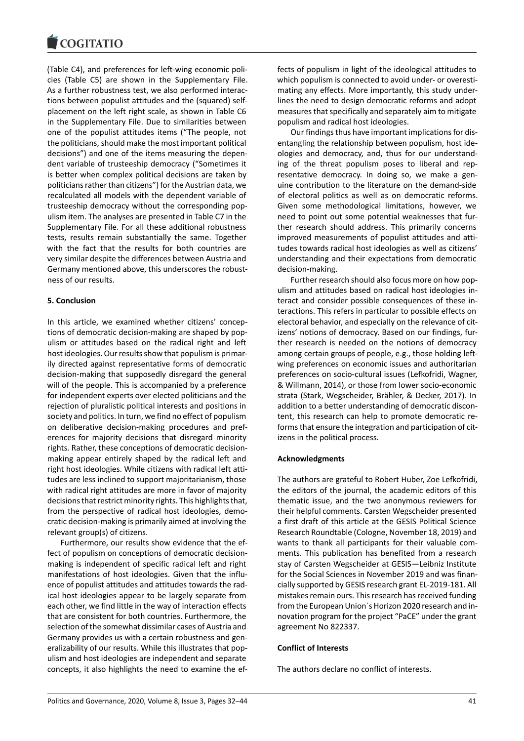(Table C4), and preferences for left-wing economic policies (Table C5) are shown in the Supplementary File. As a further robustness test, we also performed interactions between populist attitudes and the (squared) selfplacement on the left right scale, as shown in Table C6 in the Supplementary File. Due to similarities between one of the populist attitudes items ("The people, not the politicians, should make the most important political decisions") and one of the items measuring the dependent variable of trusteeship democracy ("Sometimes it is better when complex political decisions are taken by politicians rather than citizens") for the Austrian data, we recalculated all models with the dependent variable of trusteeship democracy without the corresponding populism item. The analyses are presented in Table C7 in the Supplementary File. For all these additional robustness tests, results remain substantially the same. Together with the fact that the results for both countries are very similar despite the differences between Austria and Germany mentioned above, this underscores the robustness of our results.

### **5. Conclusion**

In this article, we examined whether citizens' conceptions of democratic decision-making are shaped by populism or attitudes based on the radical right and left host ideologies. Our results show that populism is primarily directed against representative forms of democratic decision-making that supposedly disregard the general will of the people. This is accompanied by a preference for independent experts over elected politicians and the rejection of pluralistic political interests and positions in society and politics. In turn, we find no effect of populism on deliberative decision-making procedures and preferences for majority decisions that disregard minority rights. Rather, these conceptions of democratic decisionmaking appear entirely shaped by the radical left and right host ideologies. While citizens with radical left attitudes are less inclined to support majoritarianism, those with radical right attitudes are more in favor of majority decisions that restrict minority rights. This highlights that, from the perspective of radical host ideologies, democratic decision-making is primarily aimed at involving the relevant group(s) of citizens.

Furthermore, our results show evidence that the effect of populism on conceptions of democratic decisionmaking is independent of specific radical left and right manifestations of host ideologies. Given that the influence of populist attitudes and attitudes towards the radical host ideologies appear to be largely separate from each other, we find little in the way of interaction effects that are consistent for both countries. Furthermore, the selection of the somewhat dissimilar cases of Austria and Germany provides us with a certain robustness and generalizability of our results. While this illustrates that populism and host ideologies are independent and separate concepts, it also highlights the need to examine the effects of populism in light of the ideological attitudes to which populism is connected to avoid under- or overestimating any effects. More importantly, this study underlines the need to design democratic reforms and adopt measures that specifically and separately aim to mitigate populism and radical host ideologies.

Our findings thus have important implications for disentangling the relationship between populism, host ideologies and democracy, and, thus for our understanding of the threat populism poses to liberal and representative democracy. In doing so, we make a genuine contribution to the literature on the demand-side of electoral politics as well as on democratic reforms. Given some methodological limitations, however, we need to point out some potential weaknesses that further research should address. This primarily concerns improved measurements of populist attitudes and attitudes towards radical host ideologies as well as citizens' understanding and their expectations from democratic decision-making.

Further research should also focus more on how populism and attitudes based on radical host ideologies interact and consider possible consequences of these interactions. This refers in particular to possible effects on electoral behavior, and especially on the relevance of citizens' notions of democracy. Based on our findings, further research is needed on the notions of democracy among certain groups of people, e.g., those holding leftwing preferences on economic issues and authoritarian preferences on socio-cultural issues (Lefkofridi, Wagner, & Willmann, 2014), or those from lower socio-economic strata (Stark, Wegscheider, Brähler, & Decker, 2017). In addition to a better understanding of democratic discontent, this research can help to promote democratic reforms that ensure the integration and participation of citizens in the political process.

#### **Acknowledgments**

The authors are grateful to Robert Huber, Zoe Lefkofridi, the editors of the journal, the academic editors of this thematic issue, and the two anonymous reviewers for their helpful comments. Carsten Wegscheider presented a first draft of this article at the GESIS Political Science Research Roundtable (Cologne, November 18, 2019) and wants to thank all participants for their valuable comments. This publication has benefited from a research stay of Carsten Wegscheider at GESIS—Leibniz Institute for the Social Sciences in November 2019 and was financially supported by GESIS research grant EL-2019-181. All mistakes remain ours. This research has received funding from the European Union´s Horizon 2020 research and innovation program for the project "PaCE" under the grant agreement No 822337.

#### **Conflict of Interests**

The authors declare no conflict of interests.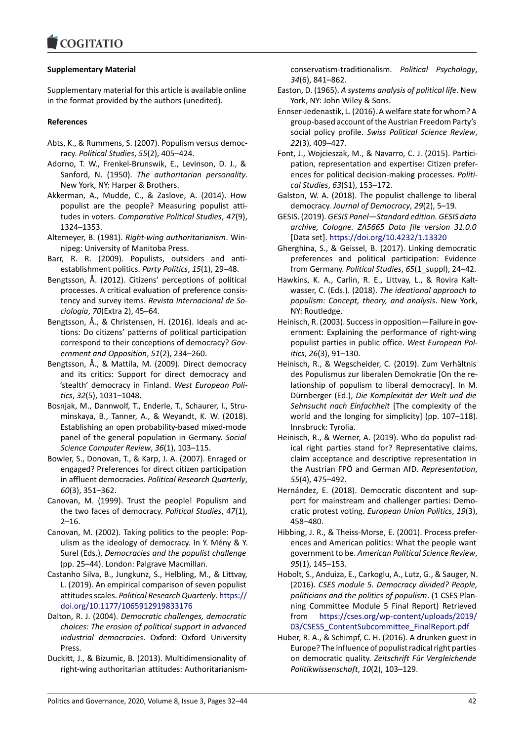# **Supplementary Material**

Supplementary material for this article is available online in the format provided by the authors (unedited).

### **References**

- Abts, K., & Rummens, S. (2007). Populism versus democracy. *Political Studies*, *55*(2), 405–424.
- Adorno, T. W., Frenkel-Brunswik, E., Levinson, D. J., & Sanford, N. (1950). *The authoritarian personality*. New York, NY: Harper & Brothers.
- Akkerman, A., Mudde, C., & Zaslove, A. (2014). How populist are the people? Measuring populist attitudes in voters. *Comparative Political Studies*, *47*(9), 1324–1353.
- Altemeyer, B. (1981). *Right-wing authoritarianism*. Winnipeg: University of Manitoba Press.
- Barr, R. R. (2009). Populists, outsiders and antiestablishment politics. *Party Politics*, *15*(1), 29–48.
- Bengtsson, Å. (2012). Citizens' perceptions of political processes. A critical evaluation of preference consistency and survey items. *Revista Internacional de Sociología*, *70*(Extra 2), 45–64.
- Bengtsson, Å., & Christensen, H. (2016). Ideals and actions: Do citizens' patterns of political participation correspond to their conceptions of democracy? *Government and Opposition*, *51*(2), 234–260.
- Bengtsson, Å., & Mattila, M. (2009). Direct democracy and its critics: Support for direct democracy and 'stealth' democracy in Finland. *West European Politics*, *32*(5), 1031–1048.
- Bosnjak, M., Dannwolf, T., Enderle, T., Schaurer, I., Struminskaya, B., Tanner, A., & Weyandt, K. W. (2018). Establishing an open probability-based mixed-mode panel of the general population in Germany. *Social Science Computer Review*, *36*(1), 103–115.
- Bowler, S., Donovan, T., & Karp, J. A. (2007). Enraged or engaged? Preferences for direct citizen participation in affluent democracies. *Political Research Quarterly*, *60*(3), 351–362.
- Canovan, M. (1999). Trust the people! Populism and the two faces of democracy. *Political Studies*, *47*(1), 2–16.
- Canovan, M. (2002). Taking politics to the people: Populism as the ideology of democracy. In Y. Mény & Y. Surel (Eds.), *Democracies and the populist challenge* (pp. 25–44). London: Palgrave Macmillan.
- Castanho Silva, B., Jungkunz, S., Helbling, M., & Littvay, L. (2019). An empirical comparison of seven populist attitudes scales. *Political Research Quarterly*. https:// doi.org/10.1177/1065912919833176
- Dalton, R. J. (2004). *Democratic challenges, democratic choices: The erosion of political support in advanced industrial democracies*. Oxford: Oxford U[niversity](https://doi.org/10.1177/1065912919833176) [Press.](https://doi.org/10.1177/1065912919833176)
- Duckitt, J., & Bizumic, B. (2013). Multidimensionality of right-wing authoritarian attitudes: Authoritarianism-

conservatism-traditionalism. *Political Psychology*, *34*(6), 841–862.

- Easton, D. (1965). *A systems analysis of political life*. New York, NY: John Wiley & Sons.
- Ennser-Jedenastik, L. (2016). A welfare state for whom? A group-based account of the Austrian Freedom Party's social policy profile. *Swiss Political Science Review*, *22*(3), 409–427.
- Font, J., Wojcieszak, M., & Navarro, C. J. (2015). Participation, representation and expertise: Citizen preferences for political decision-making processes. *Political Studies*, *63*(S1), 153–172.
- Galston, W. A. (2018). The populist challenge to liberal democracy. *Journal of Democracy*, *29*(2), 5–19.
- GESIS. (2019). *GESIS Panel—Standard edition. GESIS data archive, Cologne. ZA5665 Data file version 31.0.0* [Data set]. https://doi.org/10.4232/1.13320
- Gherghina, S., & Geissel, B. (2017). Linking democratic preferences and political participation: Evidence from Germany. *Political Studies*, *65*(1\_suppl), 24–42.
- Hawkins, K. A[., Carlin, R. E., Littvay, L., & Rov](https://doi.org/10.4232/1.13320)ira Kaltwasser, C. (Eds.). (2018). *The ideational approach to populism: Concept, theory, and analysis*. New York, NY: Routledge.
- Heinisch, R. (2003). Success in opposition—Failure in government: Explaining the performance of right-wing populist parties in public office. *West European Politics*, *26*(3), 91–130.
- Heinisch, R., & Wegscheider, C. (2019). Zum Verhältnis des Populismus zur liberalen Demokratie [On the relationship of populism to liberal democracy]. In M. Dürnberger (Ed.), *Die Komplexität der Welt und die Sehnsucht nach Einfachheit* [The complexity of the world and the longing for simplicity] (pp. 107–118). Innsbruck: Tyrolia.
- Heinisch, R., & Werner, A. (2019). Who do populist radical right parties stand for? Representative claims, claim acceptance and descriptive representation in the Austrian FPÖ and German AfD. *Representation*, *55*(4), 475–492.
- Hernández, E. (2018). Democratic discontent and support for mainstream and challenger parties: Democratic protest voting. *European Union Politics*, *19*(3), 458–480.
- Hibbing, J. R., & Theiss-Morse, E. (2001). Process preferences and American politics: What the people want government to be. *American Political Science Review*, *95*(1), 145–153.
- Hobolt, S., Anduiza, E., Carkoglu, A., Lutz, G., & Sauger, N. (2016). *CSES module 5. Democracy divided? People, politicians and the politics of populism*. (1 CSES Planning Committee Module 5 Final Report) Retrieved from https://cses.org/wp-content/uploads/2019/ 03/CSES5\_ContentSubcommittee\_FinalReport.pdf
- Huber, R. A., & Schimpf, C. H. (2016). A drunken guest in Europe? The influence of populist radical right parties on democratic quality. *[Zeitschrift Für Vergleichende](https://cses.org/wp-content/uploads/2019/03/CSES5_ContentSubcommittee_FinalReport.pdf) [Politikwissenschaft](https://cses.org/wp-content/uploads/2019/03/CSES5_ContentSubcommittee_FinalReport.pdf)*, *10*(2), 103–129.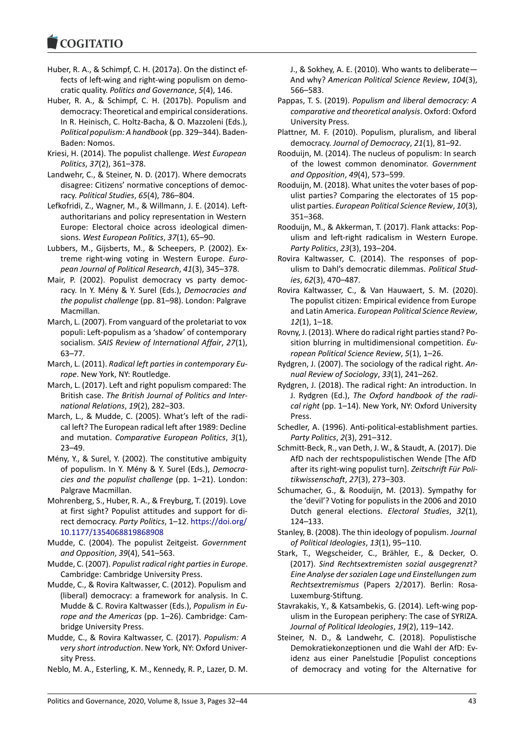#### **COMMITMENT**

- Huber, R. A., & Schimpf, C. H. (2017a). On the distinct effects of left-wing and right-wing populism on democratic quality. *Politics and Governance*, *5*(4), 146.
- Huber, R. A., & Schimpf, C. H. (2017b). Populism and democracy: Theoretical and empirical considerations. In R. Heinisch, C. Holtz-Bacha, & O. Mazzoleni (Eds.), *Political populism: A handbook* (pp. 329–344). Baden-Baden: Nomos.
- Kriesi, H. (2014). The populist challenge. *West European Politics*, *37*(2), 361–378.
- Landwehr, C., & Steiner, N. D. (2017). Where democrats disagree: Citizens' normative conceptions of democracy. *Political Studies*, *65*(4), 786–804.
- Lefkofridi, Z., Wagner, M., & Willmann, J. E. (2014). Leftauthoritarians and policy representation in Western Europe: Electoral choice across ideological dimensions. *West European Politics*, *37*(1), 65–90.
- Lubbers, M., Gijsberts, M., & Scheepers, P. (2002). Extreme right-wing voting in Western Europe. *European Journal of Political Research*, *41*(3), 345–378.
- Mair, P. (2002). Populist democracy vs party democracy. In Y. Mény & Y. Surel (Eds.), *Democracies and the populist challenge* (pp. 81–98). London: Palgrave Macmillan.
- March, L. (2007). From vanguard of the proletariat to vox populi: Left-populism as a 'shadow' of contemporary socialism. *SAIS Review of International Affair*, *27*(1), 63–77.
- March, L. (2011). *Radical left parties in contemporary Europe*. New York, NY: Routledge.
- March, L. (2017). Left and right populism compared: The British case. *The British Journal of Politics and International Relations*, *19*(2), 282–303.
- March, L., & Mudde, C. (2005). What's left of the radical left? The European radical left after 1989: Decline and mutation. *Comparative European Politics*, *3*(1), 23–49.
- Mény, Y., & Surel, Y. (2002). The constitutive ambiguity of populism. In Y. Mény & Y. Surel (Eds.), *Democracies and the populist challenge* (pp. 1–21). London: Palgrave Macmillan.
- Mohrenberg, S., Huber, R. A., & Freyburg, T. (2019). Love at first sight? Populist attitudes and support for direct democracy. *Party Politics*, 1–12. https://doi.org/ 10.1177/1354068819868908
- Mudde, C. (2004). The populist Zeitgeist. *Government and Opposition*, *39*(4), 541–563.
- Mudde, C. (2007). *Populist radical right p[arties in Europe](https://doi.org/10.1177/1354068819868908)*. [Cambridge: Cambridge Unive](https://doi.org/10.1177/1354068819868908)rsity Press.
- Mudde, C., & Rovira Kaltwasser, C. (2012). Populism and (liberal) democracy: a framework for analysis. In C. Mudde & C. Rovira Kaltwasser (Eds.), *Populism in Europe and the Americas* (pp. 1–26). Cambridge: Cambridge University Press.
- Mudde, C., & Rovira Kaltwasser, C. (2017). *Populism: A very short introduction*. New York, NY: Oxford University Press.
- Neblo, M. A., Esterling, K. M., Kennedy, R. P., Lazer, D. M.

J., & Sokhey, A. E. (2010). Who wants to deliberate— And why? *American Political Science Review*, *104*(3), 566–583.

- Pappas, T. S. (2019). *Populism and liberal democracy: A comparative and theoretical analysis*. Oxford: Oxford University Press.
- Plattner, M. F. (2010). Populism, pluralism, and liberal democracy. *Journal of Democracy*, *21*(1), 81–92.
- Rooduijn, M. (2014). The nucleus of populism: In search of the lowest common denominator. *Government and Opposition*, *49*(4), 573–599.
- Rooduijn, M. (2018). What unites the voter bases of populist parties? Comparing the electorates of 15 populist parties. *European Political Science Review*, *10*(3), 351–368.
- Rooduijn, M., & Akkerman, T. (2017). Flank attacks: Populism and left-right radicalism in Western Europe. *Party Politics*, *23*(3), 193–204.
- Rovira Kaltwasser, C. (2014). The responses of populism to Dahl's democratic dilemmas. *Political Studies*, *62*(3), 470–487.
- Rovira Kaltwasser, C., & Van Hauwaert, S. M. (2020). The populist citizen: Empirical evidence from Europe and Latin America. *European Political Science Review*, *12*(1), 1–18.
- Rovny, J. (2013). Where do radical right parties stand? Position blurring in multidimensional competition. *European Political Science Review*, *5*(1), 1–26.
- Rydgren, J. (2007). The sociology of the radical right. *Annual Review of Sociology*, *33*(1), 241–262.
- Rydgren, J. (2018). The radical right: An introduction. In J. Rydgren (Ed.), *The Oxford handbook of the radical right* (pp. 1–14). New York, NY: Oxford University Press.
- Schedler, A. (1996). Anti-political-establishment parties. *Party Politics*, *2*(3), 291–312.
- Schmitt-Beck, R., van Deth, J. W., & Staudt, A. (2017). Die AfD nach der rechtspopulistischen Wende [The AfD after its right-wing populist turn]. *Zeitschrift Für Politikwissenschaft*, *27*(3), 273–303.
- Schumacher, G., & Rooduijn, M. (2013). Sympathy for the 'devil'? Voting for populists in the 2006 and 2010 Dutch general elections. *Electoral Studies*, *32*(1), 124–133.
- Stanley, B. (2008). The thin ideology of populism. *Journal of Political Ideologies*, *13*(1), 95–110.
- Stark, T., Wegscheider, C., Brähler, E., & Decker, O. (2017). *Sind Rechtsextremisten sozial ausgegrenzt? Eine Analyse der sozialen Lage und Einstellungen zum Rechtsextremismus* (Papers 2/2017). Berlin: Rosa-Luxemburg-Stiftung.
- Stavrakakis, Y., & Katsambekis, G. (2014). Left-wing populism in the European periphery: The case of SYRIZA. *Journal of Political Ideologies*, *19*(2), 119–142.
- Steiner, N. D., & Landwehr, C. (2018). Populistische Demokratiekonzeptionen und die Wahl der AfD: Evidenz aus einer Panelstudie [Populist conceptions of democracy and voting for the Alternative for